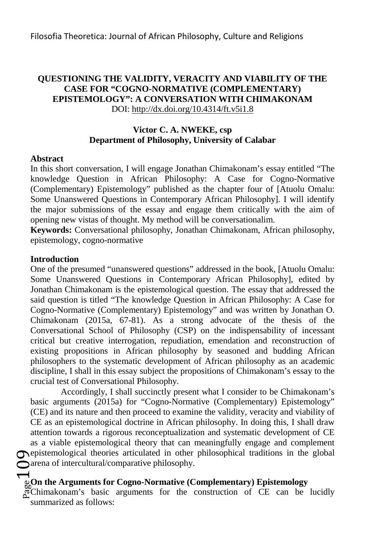Filosofia Theoretica: Journal of African Philosophy, Culture and Religions

#### **QUESTIONING THE VALIDITY, VERACITY AND VIABILITY OF THE CASE FOR "COGNO-NORMATIVE (COMPLEMENTARY) EPISTEMOLOGY": A CONVERSATION WITH CHIMAKONAM**  DOI: http://dx.doi.org/10.4314/ft.v5i1.8

## **Victor C. A. NWEKE, csp Department of Philosophy, University of Calabar**

### **Abstract**

In this short conversation, I will engage Jonathan Chimakonam's essay entitled "The knowledge Question in African Philosophy: A Case for Cogno-Normative (Complementary) Epistemology" published as the chapter four of [Atuolu Omalu: Some Unanswered Questions in Contemporary African Philosophy]. I will identify the major submissions of the essay and engage them critically with the aim of opening new vistas of thought. My method will be conversationalim.

**Keywords:** Conversational philosophy, Jonathan Chimakonam, African philosophy, epistemology, cogno-normative

#### **Introduction**

One of the presumed "unanswered questions" addressed in the book, [Atuolu Omalu: Some Unanswered Questions in Contemporary African Philosophy], edited by Jonathan Chimakonam is the epistemological question. The essay that addressed the said question is titled "The knowledge Question in African Philosophy: A Case for Cogno-Normative (Complementary) Epistemology" and was written by Jonathan O. Chimakonam (2015a, 67-81). As a strong advocate of the thesis of the Conversational School of Philosophy (CSP) on the indispensability of incessant critical but creative interrogation, repudiation, emendation and reconstruction of existing propositions in African philosophy by seasoned and budding African philosophers to the systematic development of African philosophy as an academic discipline, I shall in this essay subject the propositions of Chimakonam's essay to the crucial test of Conversational Philosophy.

Accordingly, I shall succinctly present what I consider to be Chimakonam's basic arguments (2015a) for "Cogno-Normative (Complementary) Epistemology" (CE) and its nature and then proceed to examine the validity, veracity and viability of CE as an epistemological doctrine in African philosophy. In doing this, I shall draw attention towards a rigorous reconceptualization and systematic development of CE as a viable epistemological theory that can meaningfully engage and complement epistemological theories articulated in other philosophical traditions in the global arena of intercultural/comparative philosophy.

Orthermological theories articulated in other philosophical traditions in the global<br>Chimakonam's basic arguments for the construction of CE can be lucidly<br>Chimakonam's basic arguments for the construction of CE can be luc **On the Arguments for Cogno-Normative (Complementary) Epistemology**  summarized as follows: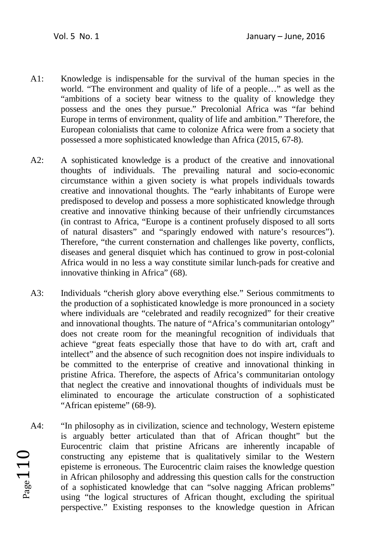- A1: Knowledge is indispensable for the survival of the human species in the world. "The environment and quality of life of a people…" as well as the "ambitions of a society bear witness to the quality of knowledge they possess and the ones they pursue." Precolonial Africa was "far behind Europe in terms of environment, quality of life and ambition." Therefore, the European colonialists that came to colonize Africa were from a society that possessed a more sophisticated knowledge than Africa (2015, 67-8).
- A2: A sophisticated knowledge is a product of the creative and innovational thoughts of individuals. The prevailing natural and socio-economic circumstance within a given society is what propels individuals towards creative and innovational thoughts. The "early inhabitants of Europe were predisposed to develop and possess a more sophisticated knowledge through creative and innovative thinking because of their unfriendly circumstances (in contrast to Africa, "Europe is a continent profusely disposed to all sorts of natural disasters" and "sparingly endowed with nature's resources"). Therefore, "the current consternation and challenges like poverty, conflicts, diseases and general disquiet which has continued to grow in post-colonial Africa would in no less a way constitute similar lunch-pads for creative and innovative thinking in Africa" (68).
- A3: Individuals "cherish glory above everything else." Serious commitments to the production of a sophisticated knowledge is more pronounced in a society where individuals are "celebrated and readily recognized" for their creative and innovational thoughts. The nature of "Africa's communitarian ontology" does not create room for the meaningful recognition of individuals that achieve "great feats especially those that have to do with art, craft and intellect" and the absence of such recognition does not inspire individuals to be committed to the enterprise of creative and innovational thinking in pristine Africa. Therefore, the aspects of Africa's communitarian ontology that neglect the creative and innovational thoughts of individuals must be eliminated to encourage the articulate construction of a sophisticated "African episteme" (68-9).
- Page 110 A4: "In philosophy as in civilization, science and technology, Western episteme is arguably better articulated than that of African thought" but the Eurocentric claim that pristine Africans are inherently incapable of constructing any episteme that is qualitatively similar to the Western episteme is erroneous. The Eurocentric claim raises the knowledge question in African philosophy and addressing this question calls for the construction of a sophisticated knowledge that can "solve nagging African problems" using "the logical structures of African thought, excluding the spiritual perspective." Existing responses to the knowledge question in African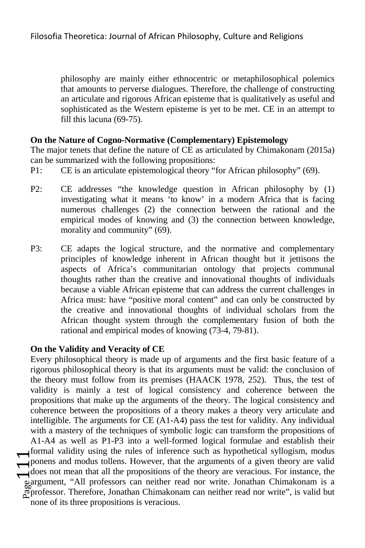philosophy are mainly either ethnocentric or metaphilosophical polemics that amounts to perverse dialogues. Therefore, the challenge of constructing an articulate and rigorous African episteme that is qualitatively as useful and sophisticated as the Western episteme is yet to be met. CE in an attempt to fill this lacuna (69-75).

#### **On the Nature of Cogno-Normative (Complementary) Epistemology**

The major tenets that define the nature of CE as articulated by Chimakonam (2015a) can be summarized with the following propositions:

- P1: CE is an articulate epistemological theory "for African philosophy" (69).
- P2: CE addresses "the knowledge question in African philosophy by (1) investigating what it means 'to know' in a modern Africa that is facing numerous challenges (2) the connection between the rational and the empirical modes of knowing and (3) the connection between knowledge, morality and community" (69).
- P3: CE adapts the logical structure, and the normative and complementary principles of knowledge inherent in African thought but it jettisons the aspects of Africa's communitarian ontology that projects communal thoughts rather than the creative and innovational thoughts of individuals because a viable African episteme that can address the current challenges in Africa must: have "positive moral content" and can only be constructed by the creative and innovational thoughts of individual scholars from the African thought system through the complementary fusion of both the rational and empirical modes of knowing (73-4, 79-81).

#### **On the Validity and Veracity of CE**

 $\frac{1}{2}$ <br>Pagarg<br>Pagpro Every philosophical theory is made up of arguments and the first basic feature of a rigorous philosophical theory is that its arguments must be valid: the conclusion of the theory must follow from its premises (HAACK 1978, 252). Thus, the test of validity is mainly a test of logical consistency and coherence between the propositions that make up the arguments of the theory. The logical consistency and coherence between the propositions of a theory makes a theory very articulate and intelligible. The arguments for CE (A1-A4) pass the test for validity. Any individual with a mastery of the techniques of symbolic logic can transform the propositions of A1-A4 as well as P1-P3 into a well-formed logical formulae and establish their formal validity using the rules of inference such as hypothetical syllogism, modus ponens and modus tollens. However, that the arguments of a given theory are valid does not mean that all the propositions of the theory are veracious. For instance, the argument, "All professors can neither read nor write. Jonathan Chimakonam is a professor. Therefore, Jonathan Chimakonam can neither read nor write", is valid but none of its three propositions is veracious.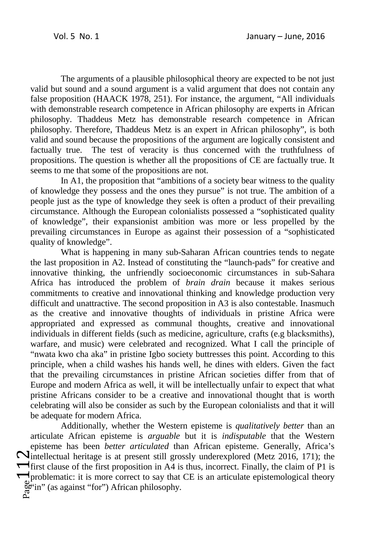The arguments of a plausible philosophical theory are expected to be not just valid but sound and a sound argument is a valid argument that does not contain any false proposition (HAACK 1978, 251). For instance, the argument, "All individuals with demonstrable research competence in African philosophy are experts in African philosophy. Thaddeus Metz has demonstrable research competence in African philosophy. Therefore, Thaddeus Metz is an expert in African philosophy", is both valid and sound because the propositions of the argument are logically consistent and factually true. The test of veracity is thus concerned with the truthfulness of propositions. The question is whether all the propositions of CE are factually true. It seems to me that some of the propositions are not.

In A1, the proposition that "ambitions of a society bear witness to the quality of knowledge they possess and the ones they pursue" is not true. The ambition of a people just as the type of knowledge they seek is often a product of their prevailing circumstance. Although the European colonialists possessed a "sophisticated quality of knowledge", their expansionist ambition was more or less propelled by the prevailing circumstances in Europe as against their possession of a "sophisticated quality of knowledge".

What is happening in many sub-Saharan African countries tends to negate the last proposition in A2. Instead of constituting the "launch-pads" for creative and innovative thinking, the unfriendly socioeconomic circumstances in sub-Sahara Africa has introduced the problem of *brain drain* because it makes serious commitments to creative and innovational thinking and knowledge production very difficult and unattractive. The second proposition in A3 is also contestable. Inasmuch as the creative and innovative thoughts of individuals in pristine Africa were appropriated and expressed as communal thoughts, creative and innovational individuals in different fields (such as medicine, agriculture, crafts (e.g blacksmiths), warfare, and music) were celebrated and recognized. What I call the principle of "nwata kwo cha aka" in pristine Igbo society buttresses this point. According to this principle, when a child washes his hands well, he dines with elders. Given the fact that the prevailing circumstances in pristine African societies differ from that of Europe and modern Africa as well, it will be intellectually unfair to expect that what pristine Africans consider to be a creative and innovational thought that is worth celebrating will also be consider as such by the European colonialists and that it will be adequate for modern Africa.

 $\prod_{\substack{\mathrm{first} \ \mathrm{ger} \\ \mathrm{gen} \ \mathrm{in} \\ \mathrm{gen}}}$ Additionally, whether the Western episteme is *qualitatively better* than an articulate African episteme is *arguable* but it is *indisputable* that the Western episteme has been *better articulated* than African episteme. Generally, Africa's **N**intellectual heritage is at present still grossly underexplored (Metz 2016, 171); the first clause of the first proposition in A4 is thus, incorrect. Finally, the claim of P1 is problematic: it is more correct to say that CE is an articulate epistemological theory "in" (as against "for") African philosophy.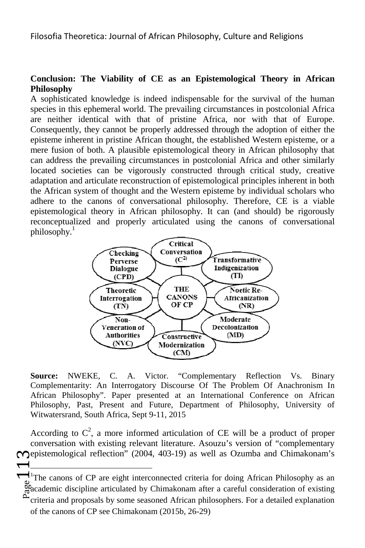# **Conclusion: The Viability of CE as an Epistemological Theory in African Philosophy**

A sophisticated knowledge is indeed indispensable for the survival of the human species in this ephemeral world. The prevailing circumstances in postcolonial Africa are neither identical with that of pristine Africa, nor with that of Europe. Consequently, they cannot be properly addressed through the adoption of either the episteme inherent in pristine African thought, the established Western e episteme, or a mere fusion of both. A plausible epistemological theory in African philosophy that can address the prevailing circumstances in postcolonial Africa and other similarly located societies can be vigorously constructed through critical study, creative adaptation and articulate reconstruction of epistemological principles inherent in both the African system of thought and the Western episteme by individual scholars who adhere to the canons of conversational philosophy. Therefore, CE is a viable epistemological theory in African philosophy. It can (and should) be rigorously reconceptualized and properly articulated using the canons of conversational philosophy.<sup>1</sup>



**Source:** NWEKE, C. A. Victor. "Complementary Reflection Vs. Binary Complementarity: An Interrogatory Discourse Of The Problem Of Anachronism In African Philosophy". Paper presented at an International Conference on African Philosophy, Past, Present and Future, Department of Philosophy, University of Witwatersrand, South Africa, Sept 9-11, 2015

According to  $C^2$ , a more informed articulation of CE will be a product of proper conversation with existing relevant literature. Asouzu's version of "complementary <u>.</u>

**Computed Constrainers** (2004, 403-19) as well as Ozumba and Chimakonam's <br>
<sup>1</sup>The canons of CP are eight interconnected criteria for doing African Philosophy as an and canonic discipline articulated by Chimakonam after a <sup>1</sup>The canons of CP are eight interconnected criteria for doing African Philosophy as an academic discipline articulated by Chimakonam after a careful consideration of existing criteria and proposals by some seasoned African philosophers. For a detailed explanation of the canons of CP see Chimakonam (2015b, 26-29)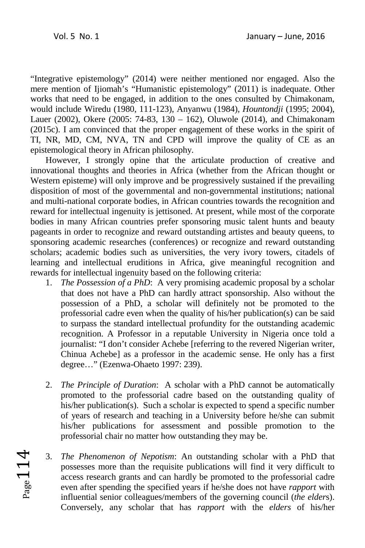$_{\rm Page}$ 114

"Integrative epistemology" (2014) were neither mentioned nor engaged. Also the mere mention of Ijiomah's "Humanistic epistemology" (2011) is inadequate. Other works that need to be engaged, in addition to the ones consulted by Chimakonam, would include Wiredu (1980, 111-123), Anyanwu (1984), *Hountondji* (1995; 2004), Lauer (2002), Okere (2005: 74-83, 130 – 162), Oluwole (2014), and Chimakonam (2015c). I am convinced that the proper engagement of these works in the spirit of TI, NR, MD, CM, NVA, TN and CPD will improve the quality of CE as an epistemological theory in African philosophy.

However, I strongly opine that the articulate production of creative and innovational thoughts and theories in Africa (whether from the African thought or Western episteme) will only improve and be progressively sustained if the prevailing disposition of most of the governmental and non-governmental institutions; national and multi-national corporate bodies, in African countries towards the recognition and reward for intellectual ingenuity is jettisoned. At present, while most of the corporate bodies in many African countries prefer sponsoring music talent hunts and beauty pageants in order to recognize and reward outstanding artistes and beauty queens, to sponsoring academic researches (conferences) or recognize and reward outstanding scholars; academic bodies such as universities, the very ivory towers, citadels of learning and intellectual eruditions in Africa, give meaningful recognition and rewards for intellectual ingenuity based on the following criteria:

- 1. *The Possession of a PhD*: A very promising academic proposal by a scholar that does not have a PhD can hardly attract sponsorship. Also without the possession of a PhD, a scholar will definitely not be promoted to the professorial cadre even when the quality of his/her publication(s) can be said to surpass the standard intellectual profundity for the outstanding academic recognition. A Professor in a reputable University in Nigeria once told a journalist: "I don't consider Achebe [referring to the revered Nigerian writer, Chinua Achebe] as a professor in the academic sense. He only has a first degree…" (Ezenwa-Ohaeto 1997: 239).
- 2. *The Principle of Duration*: A scholar with a PhD cannot be automatically promoted to the professorial cadre based on the outstanding quality of his/her publication(s). Such a scholar is expected to spend a specific number of years of research and teaching in a University before he/she can submit his/her publications for assessment and possible promotion to the professorial chair no matter how outstanding they may be.
- 3. *The Phenomenon of Nepotism*: An outstanding scholar with a PhD that possesses more than the requisite publications will find it very difficult to access research grants and can hardly be promoted to the professorial cadre even after spending the specified years if he/she does not have *rapport* with influential senior colleagues/members of the governing council (*the elder*s). Conversely, any scholar that has *rapport* with the *elders* of his/her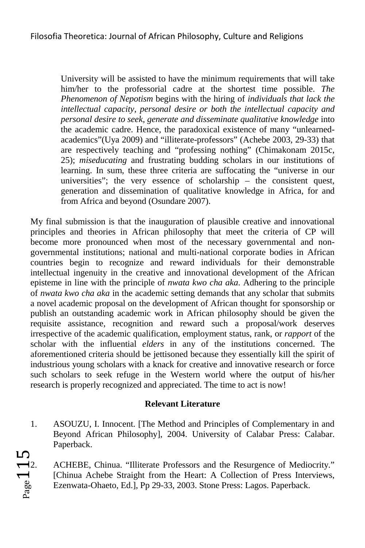University will be assisted to have the minimum requirements that will take him/her to the professorial cadre at the shortest time possible. *The Phenomenon of Nepotism* begins with the hiring of *individuals that lack the intellectual capacity, personal desire or both the intellectual capacity and personal desire to seek, generate and disseminate qualitative knowledge* into the academic cadre. Hence, the paradoxical existence of many "unlearnedacademics"(Uya 2009) and "illiterate-professors" (Achebe 2003, 29-33) that are respectively teaching and "professing nothing" (Chimakonam 2015c, 25); *miseducating* and frustrating budding scholars in our institutions of learning. In sum, these three criteria are suffocating the "universe in our universities"; the very essence of scholarship – the consistent quest, generation and dissemination of qualitative knowledge in Africa, for and from Africa and beyond (Osundare 2007).

My final submission is that the inauguration of plausible creative and innovational principles and theories in African philosophy that meet the criteria of CP will become more pronounced when most of the necessary governmental and nongovernmental institutions; national and multi-national corporate bodies in African countries begin to recognize and reward individuals for their demonstrable intellectual ingenuity in the creative and innovational development of the African episteme in line with the principle of *nwata kwo cha aka*. Adhering to the principle of *nwata kwo cha aka* in the academic setting demands that any scholar that submits a novel academic proposal on the development of African thought for sponsorship or publish an outstanding academic work in African philosophy should be given the requisite assistance, recognition and reward such a proposal/work deserves irrespective of the academic qualification, employment status, rank, or *rapport* of the scholar with the influential *elders* in any of the institutions concerned. The aforementioned criteria should be jettisoned because they essentially kill the spirit of industrious young scholars with a knack for creative and innovative research or force such scholars to seek refuge in the Western world where the output of his/her research is properly recognized and appreciated. The time to act is now!

#### **Relevant Literature**

 $P_{\text{age}}11.5$ 1. ASOUZU, I. Innocent. [The Method and Principles of Complementary in and Beyond African Philosophy], 2004. University of Calabar Press: Calabar. Paperback.

2. ACHEBE, Chinua. "Illiterate Professors and the Resurgence of Mediocrity." [Chinua Achebe Straight from the Heart: A Collection of Press Interviews, Ezenwata-Ohaeto, Ed.], Pp 29-33, 2003. Stone Press: Lagos. Paperback.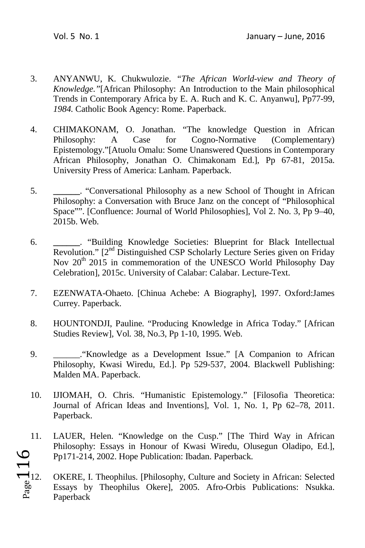- 3. ANYANWU, K. Chukwulozie. *"The African World-view and Theory of Knowledge."*[African Philosophy: An Introduction to the Main philosophical Trends in Contemporary Africa by E. A. Ruch and K. C. Anyanwu], Pp77-99, *1984.* Catholic Book Agency: Rome. Paperback.
- 4. CHIMAKONAM, O. Jonathan. "The knowledge Question in African Philosophy: A Case for Cogno-Normative (Complementary) Epistemology."[Atuolu Omalu: Some Unanswered Questions in Contemporary African Philosophy, Jonathan O. Chimakonam Ed.], Pp 67-81, 2015a. University Press of America: Lanham. Paperback.
- 5. **\_\_\_\_\_\_**. "Conversational Philosophy as a new School of Thought in African Philosophy: a Conversation with Bruce Janz on the concept of "Philosophical Space"". [Confluence: Journal of World Philosophies], Vol 2. No. 3, Pp 9–40, 2015b. Web.
- 6. **\_\_\_\_\_\_**. "Building Knowledge Societies: Blueprint for Black Intellectual Revolution." [2nd Distinguished CSP Scholarly Lecture Series given on Friday Nov 20<sup>th</sup> 2015 in commemoration of the UNESCO World Philosophy Day Celebration], 2015c. University of Calabar: Calabar. Lecture-Text.
- 7. EZENWATA-Ohaeto. [Chinua Achebe: A Biography], 1997. Oxford:James Currey. Paperback.
- 8. HOUNTONDJI, Pauline*.* "Producing Knowledge in Africa Today." [African Studies Review]*,* Vol*.* 38, No.3, Pp 1-10, 1995. Web.
- 9. \_\_\_\_\_\_."Knowledge as a Development Issue." [A Companion to African Philosophy, Kwasi Wiredu, Ed.]. Pp 529-537, 2004. Blackwell Publishing: Malden MA. Paperback.
- 10. IJIOMAH, O. Chris. "Humanistic Epistemology." [Filosofia Theoretica: Journal of African Ideas and Inventions], Vol. 1, No. 1, Pp 62–78, 2011. Paperback.
- 11. LAUER, Helen. "Knowledge on the Cusp." [The Third Way in African Philosophy: Essays in Honour of Kwasi Wiredu, Olusegun Oladipo, Ed.], Pp171-214, 2002. Hope Publication: Ibadan. Paperback.
- $P_{\text{age}}$  $\frac{1}{12}$ OKERE, I. Theophilus. [Philosophy, Culture and Society in African: Selected Essays by Theophilus Okere], 2005. Afro-Orbis Publications: Nsukka. Paperback